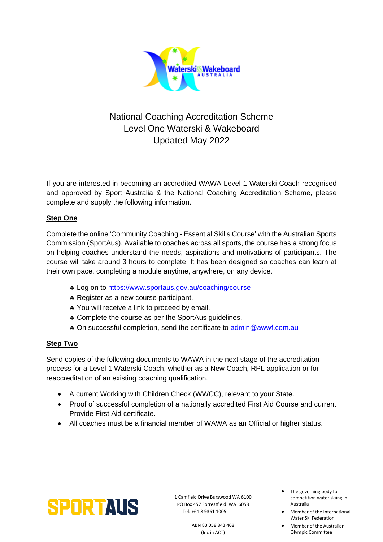

# National Coaching Accreditation Scheme Level One Waterski & Wakeboard Updated May 2022

If you are interested in becoming an accredited WAWA Level 1 Waterski Coach recognised and approved by Sport Australia & the National Coaching Accreditation Scheme, please complete and supply the following information.

# **Step One**

Complete the online 'Community Coaching - Essential Skills Course' with the Australian Sports Commission (SportAus). Available to coaches across all sports, the course has a strong focus on helping coaches understand the needs, aspirations and motivations of participants. The course will take around 3 hours to complete. It has been designed so coaches can learn at their own pace, completing a module anytime, anywhere, on any device.

- \* Log on to <https://www.sportaus.gov.au/coaching/course>
- \* Register as a new course participant.
- \* You will receive a link to proceed by email.
- \* Complete the course as per the SportAus guidelines.
- On successful completion, send the certificate to [admin@awwf.com.au](mailto:admin@awwf.com.au)

# **Step Two**

Send copies of the following documents to WAWA in the next stage of the accreditation process for a Level 1 Waterski Coach, whether as a New Coach, RPL application or for reaccreditation of an existing coaching qualification.

- A current Working with Children Check (WWCC), relevant to your State.
- Proof of successful completion of a nationally accredited First Aid Course and current Provide First Aid certificate.
- All coaches must be a financial member of WAWA as an Official or higher status.



1 Camfield Drive Burswood WA 6100 PO Box 457 Forrestfield WA 6058 Tel: +61 8 9361 1005

> ABN 83 058 843 468 (Inc in ACT)

- The governing body for competition water skiing in Australia
- Member of the International Water Ski Federation
- Member of the Australian Olympic Committee